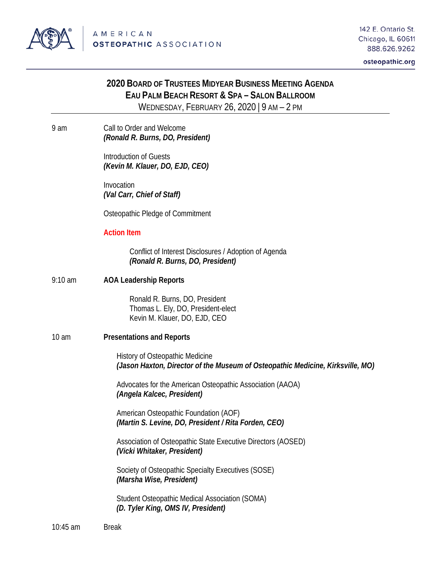

#### osteopathic.org

# **2020 BOARD OF TRUSTEES MIDYEAR BUSINESS MEETING AGENDA EAU PALM BEACH RESORT & SPA – SALON BALLROOM** WEDNESDAY, FEBRUARY 26, 2020 | 9 AM – 2 PM

9 am Call to Order and Welcome *(Ronald R. Burns, DO, President)*

> Introduction of Guests *(Kevin M. Klauer, DO, EJD, CEO)*

Invocation *(Val Carr, Chief of Staff)*

Osteopathic Pledge of Commitment

#### **Action Item**

Conflict of Interest Disclosures / Adoption of Agenda *(Ronald R. Burns, DO, President)*

9:10 am **AOA Leadership Reports**

Ronald R. Burns, DO, President Thomas L. Ely, DO, President-elect Kevin M. Klauer, DO, EJD, CEO

10 am **Presentations and Reports**

History of Osteopathic Medicine *(Jason Haxton, Director of the Museum of Osteopathic Medicine, Kirksville, MO)*

Advocates for the American Osteopathic Association (AAOA) *(Angela Kalcec, President)*

American Osteopathic Foundation (AOF) *(Martin S. Levine, DO, President / Rita Forden, CEO)*

Association of Osteopathic State Executive Directors (AOSED) *(Vicki Whitaker, President)*

Society of Osteopathic Specialty Executives (SOSE) *(Marsha Wise, President)*

Student Osteopathic Medical Association (SOMA) *(D. Tyler King, OMS IV, President)*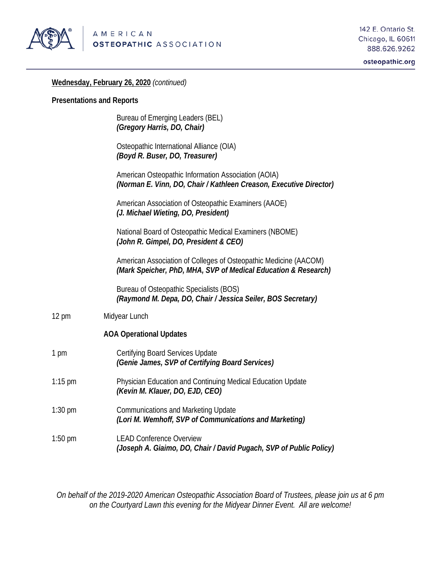

osteopathic.org

### **Wednesday, February 26, 2020** *(continued)*

### **Presentations and Reports**

|                 | Bureau of Emerging Leaders (BEL)<br>(Gregory Harris, DO, Chair)                                                                    |
|-----------------|------------------------------------------------------------------------------------------------------------------------------------|
|                 | Osteopathic International Alliance (OIA)<br>(Boyd R. Buser, DO, Treasurer)                                                         |
|                 | American Osteopathic Information Association (AOIA)<br>(Norman E. Vinn, DO, Chair / Kathleen Creason, Executive Director)          |
|                 | American Association of Osteopathic Examiners (AAOE)<br>(J. Michael Wieting, DO, President)                                        |
|                 | National Board of Osteopathic Medical Examiners (NBOME)<br>(John R. Gimpel, DO, President & CEO)                                   |
|                 | American Association of Colleges of Osteopathic Medicine (AACOM)<br>(Mark Speicher, PhD, MHA, SVP of Medical Education & Research) |
|                 | Bureau of Osteopathic Specialists (BOS)<br>(Raymond M. Depa, DO, Chair / Jessica Seiler, BOS Secretary)                            |
| $12 \text{ pm}$ | Midyear Lunch                                                                                                                      |
|                 | <b>AOA Operational Updates</b>                                                                                                     |
| 1 pm            | Certifying Board Services Update<br>(Genie James, SVP of Certifying Board Services)                                                |
| $1:15$ pm       | Physician Education and Continuing Medical Education Update<br>(Kevin M. Klauer, DO, EJD, CEO)                                     |
| $1:30$ pm       | <b>Communications and Marketing Update</b><br>(Lori M. Wemhoff, SVP of Communications and Marketing)                               |
| $1:50$ pm       | <b>LEAD Conference Overview</b><br>(Joseph A. Giaimo, DO, Chair / David Pugach, SVP of Public Policy)                              |

*On behalf of the 2019-2020 American Osteopathic Association Board of Trustees, please join us at 6 pm on the Courtyard Lawn this evening for the Midyear Dinner Event. All are welcome!*